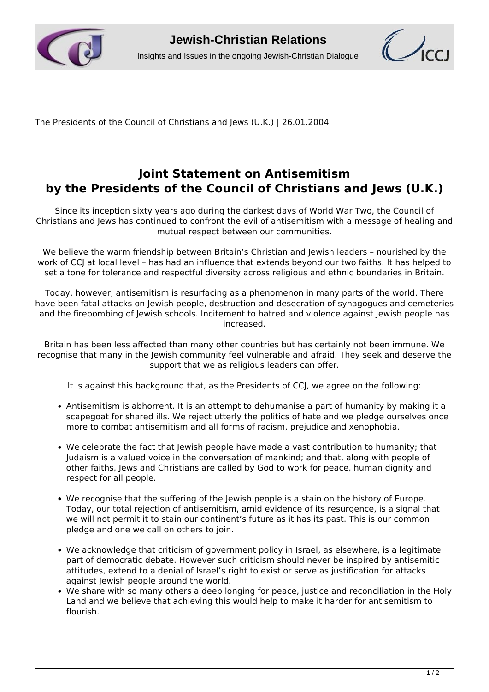



The Presidents of the Council of Christians and Jews (U.K.) | 26.01.2004

## **Joint Statement on Antisemitism by the Presidents of the Council of Christians and Jews (U.K.)**

Since its inception sixty years ago during the darkest days of World War Two, the Council of Christians and Jews has continued to confront the evil of antisemitism with a message of healing and mutual respect between our communities.

We believe the warm friendship between Britain's Christian and Jewish leaders – nourished by the work of CCJ at local level - has had an influence that extends beyond our two faiths. It has helped to set a tone for tolerance and respectful diversity across religious and ethnic boundaries in Britain.

Today, however, antisemitism is resurfacing as a phenomenon in many parts of the world. There have been fatal attacks on Jewish people, destruction and desecration of synagogues and cemeteries and the firebombing of Jewish schools. Incitement to hatred and violence against Jewish people has increased.

Britain has been less affected than many other countries but has certainly not been immune. We recognise that many in the Jewish community feel vulnerable and afraid. They seek and deserve the support that we as religious leaders can offer.

It is against this background that, as the Presidents of CCJ, we agree on the following:

- Antisemitism is abhorrent. It is an attempt to dehumanise a part of humanity by making it a scapegoat for shared ills. We reject utterly the politics of hate and we pledge ourselves once more to combat antisemitism and all forms of racism, prejudice and xenophobia.
- We celebrate the fact that lewish people have made a vast contribution to humanity; that Judaism is a valued voice in the conversation of mankind; and that, along with people of other faiths, Jews and Christians are called by God to work for peace, human dignity and respect for all people.
- We recognise that the suffering of the Jewish people is a stain on the history of Europe. Today, our total rejection of antisemitism, amid evidence of its resurgence, is a signal that we will not permit it to stain our continent's future as it has its past. This is our common pledge and one we call on others to join.
- We acknowledge that criticism of government policy in Israel, as elsewhere, is a legitimate part of democratic debate. However such criticism should never be inspired by antisemitic attitudes, extend to a denial of Israel's right to exist or serve as justification for attacks against lewish people around the world.
- We share with so many others a deep longing for peace, justice and reconciliation in the Holy Land and we believe that achieving this would help to make it harder for antisemitism to flourish.